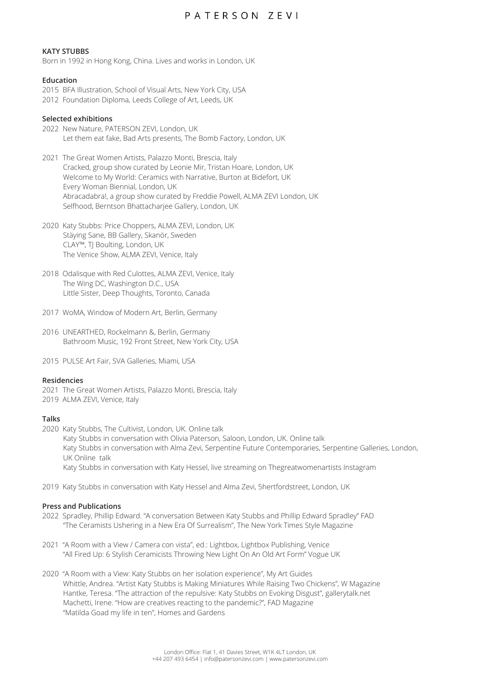## PATERSON ZEVI

## **KATY STUBBS**

Born in 1992 in Hong Kong, China. Lives and works in London, UK

## **Education**

- 2015 BFA Illustration, School of Visual Arts, New York City, USA
- 2012 Foundation Diploma, Leeds College of Art, Leeds, UK

## **Selected exhibitions**

- 2022 New Nature, PATERSON ZEVI, London, UK Let them eat fake, Bad Arts presents, The Bomb Factory, London, UK
- 2021 The Great Women Artists, Palazzo Monti, Brescia, Italy Cracked, group show curated by Leonie Mir, Tristan Hoare, London, UK Welcome to My World: Ceramics with Narrative, Burton at Bidefort, UK Every Woman Biennial, London, UK Abracadabra!, a group show curated by Freddie Powell, ALMA ZEVI London, UK Selfhood, Berntson Bhattacharjee Gallery, London, UK
- 2020 Katy Stubbs: Price Choppers, ALMA ZEVI, London, UK Stäying Sane, BB Gallery, Skanör, Sweden CLAY™, TJ Boulting, London, UK The Venice Show, ALMA ZEVI, Venice, Italy
- 2018 Odalisque with Red Culottes, ALMA ZEVI, Venice, Italy The Wing DC, Washington D.C., USA Little Sister, Deep Thoughts, Toronto, Canada
- 2017 WoMA, Window of Modern Art, Berlin, Germany
- 2016 UNEARTHED, Rockelmann &, Berlin, Germany Bathroom Music, 192 Front Street, New York City, USA
- 2015 PULSE Art Fair, SVA Galleries, Miami, USA

#### **Residencies**

- 2021 The Great Women Artists, Palazzo Monti, Brescia, Italy
- 2019 ALMA ZEVI, Venice, Italy

## **Talks**

- 2020 Katy Stubbs, The Cultivist, London, UK. Online talk Katy Stubbs in conversation with Olivia Paterson, Saloon, London, UK. Online talk Katy Stubbs in conversation with Alma Zevi, Serpentine Future Contemporaries, Serpentine Galleries, London, UK Online talk Katy Stubbs in conversation with Katy Hessel, live streaming on Thegreatwomenartists Instagram
- 2019 Katy Stubbs in conversation with Katy Hessel and Alma Zevi, 5hertfordstreet, London, UK

#### **Press and Publications**

- 2022 Spradley, Phillip Edward. "A conversation Between Katy Stubbs and Phillip Edward Spradley" FAD "The Ceramists Ushering in a New Era Of Surrealism", The New York Times Style Magazine
- 2021 "A Room with a View / Camera con vista", ed.: Lightbox, Lightbox Publishing, Venice "All Fired Up: 6 Stylish Ceramicists Throwing New Light On An Old Art Form" Vogue UK
- 2020 "A Room with a View: Katy Stubbs on her isolation experience", My Art Guides Whittle, Andrea. "Artist Katy Stubbs is Making Miniatures While Raising Two Chickens", W Magazine Hantke, Teresa. "The attraction of the repulsive: Katy Stubbs on Evoking Disgust", gallerytalk.net Machetti, Irene. "How are creatives reacting to the pandemic?", FAD Magazine "Matilda Goad my life in ten", Homes and Gardens